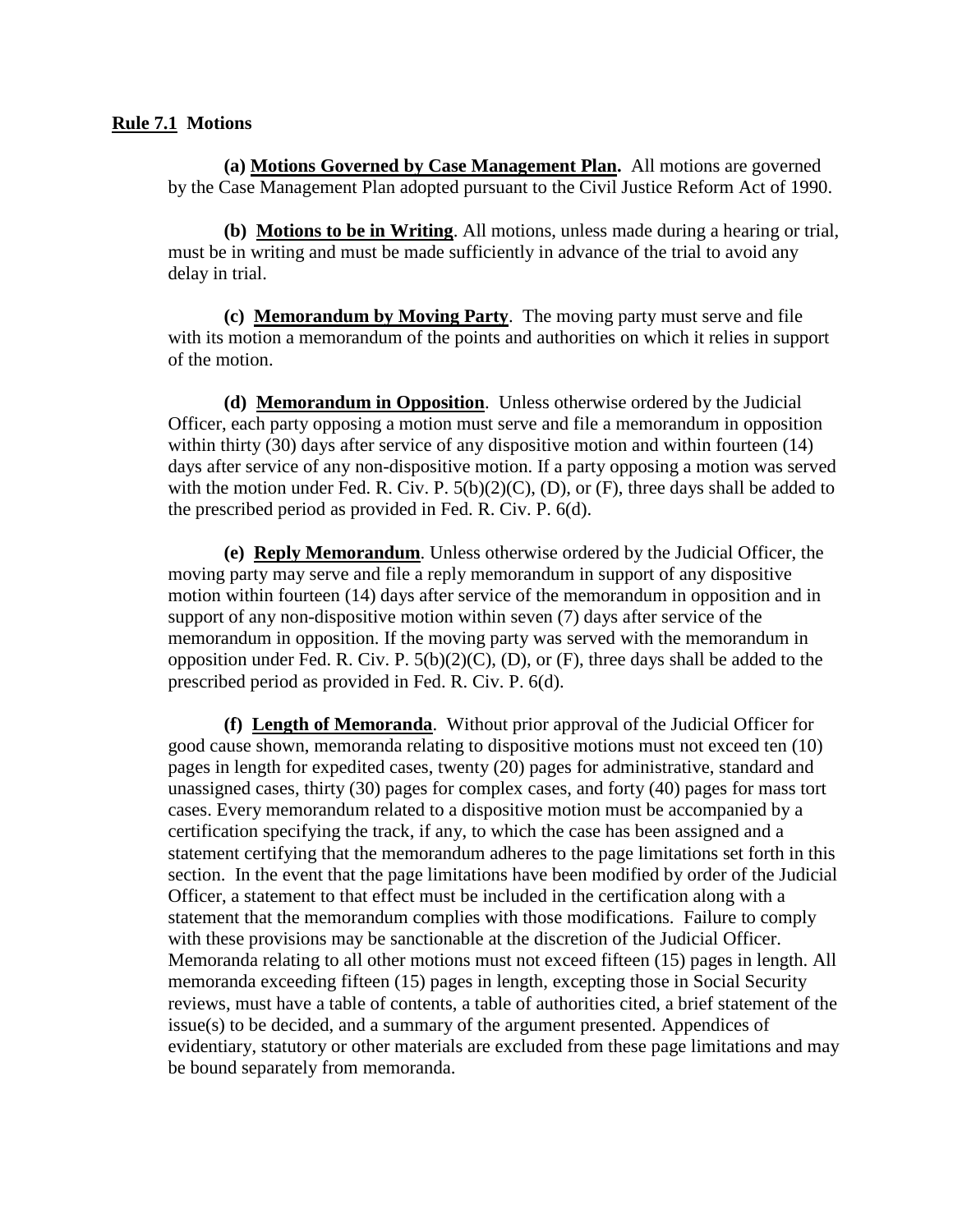## **Rule 7.1 Motions**

**(a) Motions Governed by Case Management Plan.** All motions are governed by the Case Management Plan adopted pursuant to the Civil Justice Reform Act of 1990.

**(b) Motions to be in Writing**. All motions, unless made during a hearing or trial, must be in writing and must be made sufficiently in advance of the trial to avoid any delay in trial.

**(c) Memorandum by Moving Party**. The moving party must serve and file with its motion a memorandum of the points and authorities on which it relies in support of the motion.

**(d) Memorandum in Opposition**. Unless otherwise ordered by the Judicial Officer, each party opposing a motion must serve and file a memorandum in opposition within thirty (30) days after service of any dispositive motion and within fourteen (14) days after service of any non-dispositive motion. If a party opposing a motion was served with the motion under Fed. R. Civ. P.  $5(b)(2)(C)$ , (D), or (F), three days shall be added to the prescribed period as provided in Fed. R. Civ. P. 6(d).

**(e) Reply Memorandum**. Unless otherwise ordered by the Judicial Officer, the moving party may serve and file a reply memorandum in support of any dispositive motion within fourteen (14) days after service of the memorandum in opposition and in support of any non-dispositive motion within seven (7) days after service of the memorandum in opposition. If the moving party was served with the memorandum in opposition under Fed. R. Civ. P.  $5(b)(2)(C)$ , (D), or (F), three days shall be added to the prescribed period as provided in Fed. R. Civ. P. 6(d).

**(f) Length of Memoranda**. Without prior approval of the Judicial Officer for good cause shown, memoranda relating to dispositive motions must not exceed ten (10) pages in length for expedited cases, twenty (20) pages for administrative, standard and unassigned cases, thirty (30) pages for complex cases, and forty (40) pages for mass tort cases. Every memorandum related to a dispositive motion must be accompanied by a certification specifying the track, if any, to which the case has been assigned and a statement certifying that the memorandum adheres to the page limitations set forth in this section. In the event that the page limitations have been modified by order of the Judicial Officer, a statement to that effect must be included in the certification along with a statement that the memorandum complies with those modifications. Failure to comply with these provisions may be sanctionable at the discretion of the Judicial Officer. Memoranda relating to all other motions must not exceed fifteen (15) pages in length. All memoranda exceeding fifteen (15) pages in length, excepting those in Social Security reviews, must have a table of contents, a table of authorities cited, a brief statement of the issue(s) to be decided, and a summary of the argument presented. Appendices of evidentiary, statutory or other materials are excluded from these page limitations and may be bound separately from memoranda.